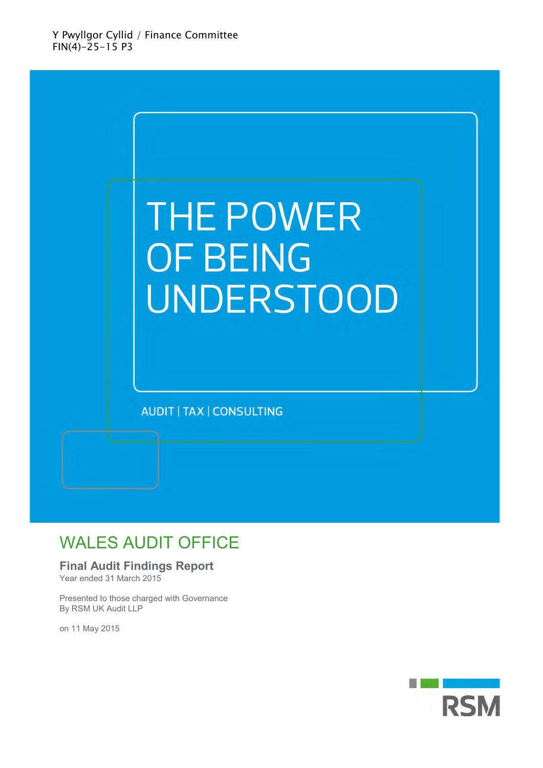

### WALES AUDIT OFFICE

### **Final Audit Findings Report**

Year ended 31 March 2015

Presented to those charged with Governance By RSM UK Audit LLP

on 11 May 2015

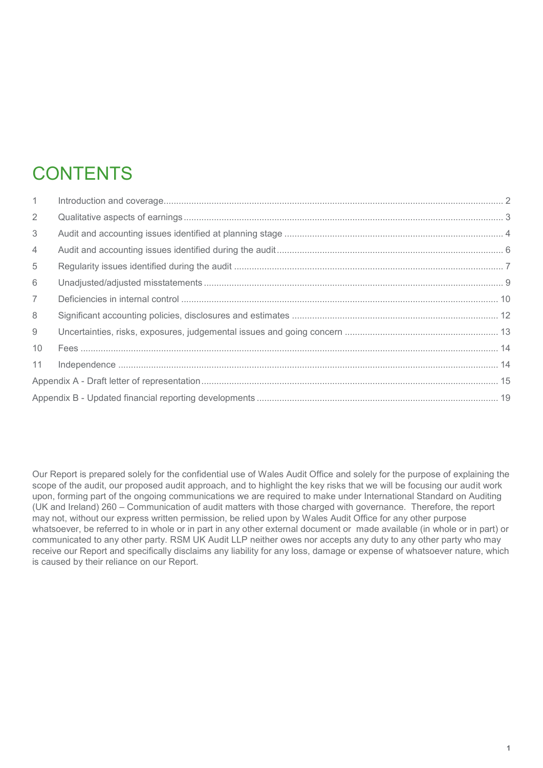# **CONTENTS**

| $\mathbf{1}$   |  |
|----------------|--|
| $\overline{2}$ |  |
| 3              |  |
| 4              |  |
| 5              |  |
| 6              |  |
| $\overline{7}$ |  |
| 8              |  |
| 9              |  |
| 10             |  |
| 11             |  |
|                |  |
|                |  |

Our Report is prepared solely for the confidential use of Wales Audit Office and solely for the purpose of explaining the scope of the audit, our proposed audit approach, and to highlight the key risks that we will be focusing our audit work upon, forming part of the ongoing communications we are required to make under International Standard on Auditing (UK and Ireland) 260 – Communication of audit matters with those charged with governance. Therefore, the report may not, without our express written permission, be relied upon by Wales Audit Office for any other purpose whatsoever, be referred to in whole or in part in any other external document or made available (in whole or in part) or communicated to any other party. RSM UK Audit LLP neither owes nor accepts any duty to any other party who may receive our Report and specifically disclaims any liability for any loss, damage or expense of whatsoever nature, which is caused by their reliance on our Report.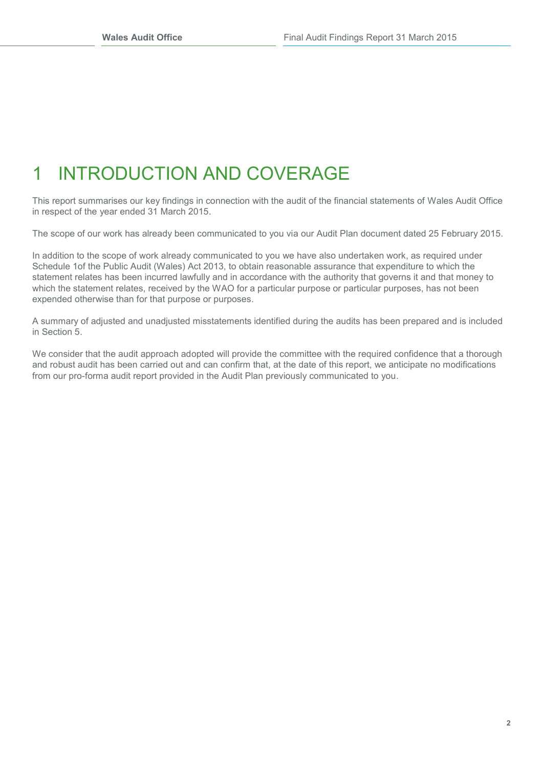# <span id="page-2-0"></span>1 INTRODUCTION AND COVERAGE

This report summarises our key findings in connection with the audit of the financial statements of Wales Audit Office in respect of the year ended 31 March 2015.

The scope of our work has already been communicated to you via our Audit Plan document dated 25 February 2015.

In addition to the scope of work already communicated to you we have also undertaken work, as required under Schedule 1of the Public Audit (Wales) Act 2013, to obtain reasonable assurance that expenditure to which the statement relates has been incurred lawfully and in accordance with the authority that governs it and that money to which the statement relates, received by the WAO for a particular purpose or particular purposes, has not been expended otherwise than for that purpose or purposes.

A summary of adjusted and unadjusted misstatements identified during the audits has been prepared and is included in Section 5.

We consider that the audit approach adopted will provide the committee with the required confidence that a thorough and robust audit has been carried out and can confirm that, at the date of this report, we anticipate no modifications from our pro-forma audit report provided in the Audit Plan previously communicated to you.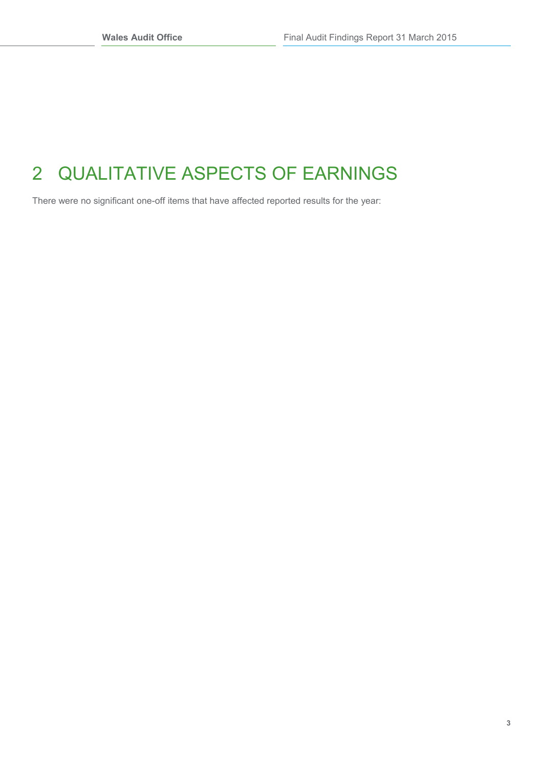# <span id="page-3-0"></span>2 QUALITATIVE ASPECTS OF EARNINGS

There were no significant one-off items that have affected reported results for the year: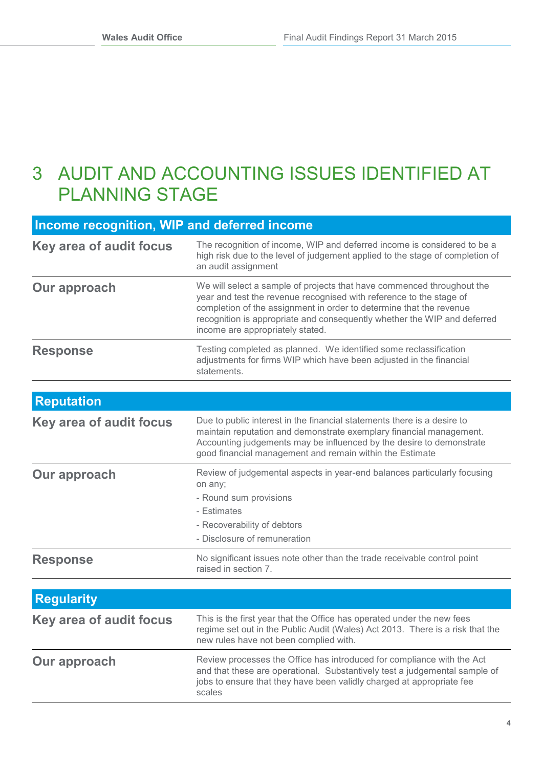### <span id="page-4-0"></span>3 AUDIT AND ACCOUNTING ISSUES IDENTIFIED AT PLANNING STAGE

| Income recognition, WIP and deferred income |                                                                                                                                                                                                                                                                                                                                      |  |  |
|---------------------------------------------|--------------------------------------------------------------------------------------------------------------------------------------------------------------------------------------------------------------------------------------------------------------------------------------------------------------------------------------|--|--|
| Key area of audit focus                     | The recognition of income, WIP and deferred income is considered to be a<br>high risk due to the level of judgement applied to the stage of completion of<br>an audit assignment                                                                                                                                                     |  |  |
| Our approach                                | We will select a sample of projects that have commenced throughout the<br>year and test the revenue recognised with reference to the stage of<br>completion of the assignment in order to determine that the revenue<br>recognition is appropriate and consequently whether the WIP and deferred<br>income are appropriately stated. |  |  |
| <b>Response</b>                             | Testing completed as planned. We identified some reclassification<br>adjustments for firms WIP which have been adjusted in the financial<br>statements.                                                                                                                                                                              |  |  |
| <b>Reputation</b>                           |                                                                                                                                                                                                                                                                                                                                      |  |  |
|                                             |                                                                                                                                                                                                                                                                                                                                      |  |  |
| <b>Key area of audit focus</b>              | Due to public interest in the financial statements there is a desire to<br>maintain reputation and demonstrate exemplary financial management.<br>Accounting judgements may be influenced by the desire to demonstrate<br>good financial management and remain within the Estimate                                                   |  |  |
| <b>Our approach</b>                         | Review of judgemental aspects in year-end balances particularly focusing<br>on any;<br>- Round sum provisions<br>- Estimates<br>- Recoverability of debtors<br>- Disclosure of remuneration                                                                                                                                          |  |  |
| <b>Response</b>                             | No significant issues note other than the trade receivable control point<br>raised in section 7.                                                                                                                                                                                                                                     |  |  |
|                                             |                                                                                                                                                                                                                                                                                                                                      |  |  |
| <b>Regularity</b>                           |                                                                                                                                                                                                                                                                                                                                      |  |  |
| <b>Key area of audit focus</b>              | This is the first year that the Office has operated under the new fees<br>regime set out in the Public Audit (Wales) Act 2013. There is a risk that the<br>new rules have not been complied with.                                                                                                                                    |  |  |
| Our approach                                | Review processes the Office has introduced for compliance with the Act<br>and that these are operational. Substantively test a judgemental sample of<br>jobs to ensure that they have been validly charged at appropriate fee                                                                                                        |  |  |

scales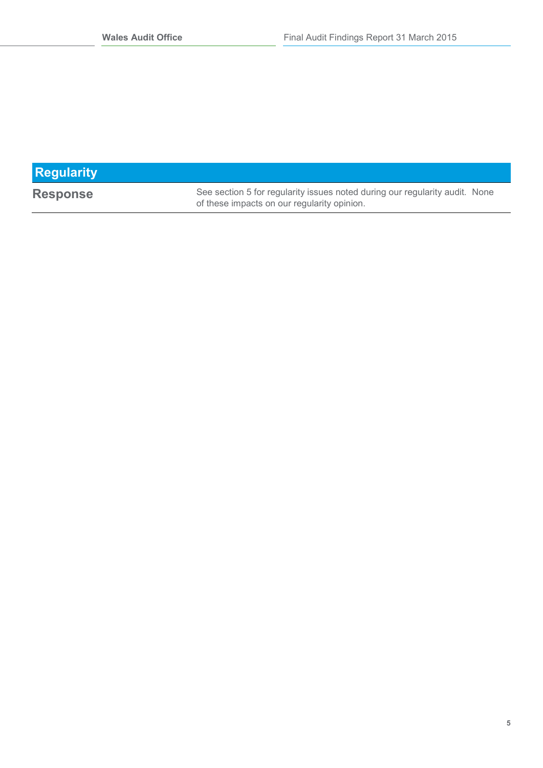| <b>Regularity</b> |                                                                                                                            |
|-------------------|----------------------------------------------------------------------------------------------------------------------------|
| <b>Response</b>   | See section 5 for regularity issues noted during our regularity audit. None<br>of these impacts on our regularity opinion. |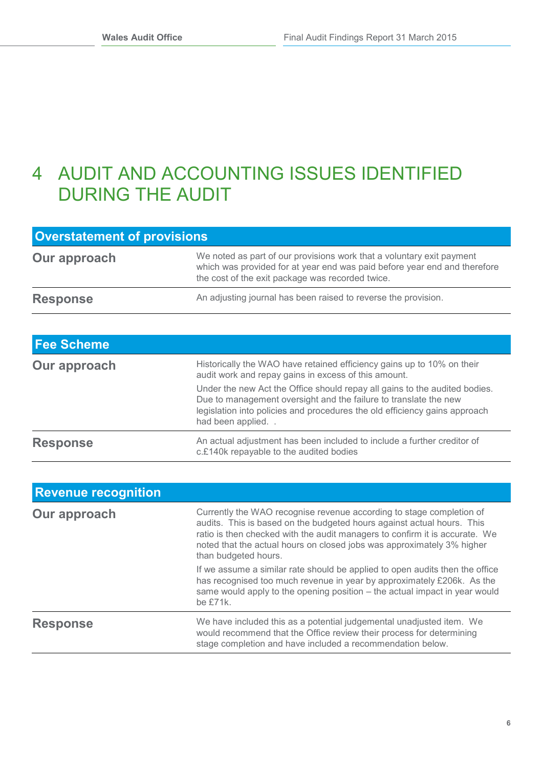## <span id="page-6-0"></span>4 AUDIT AND ACCOUNTING ISSUES IDENTIFIED DURING THE AUDIT

| <b>Overstatement of provisions</b> |                                                                                                                                                                                                        |  |  |
|------------------------------------|--------------------------------------------------------------------------------------------------------------------------------------------------------------------------------------------------------|--|--|
| Our approach                       | We noted as part of our provisions work that a voluntary exit payment<br>which was provided for at year end was paid before year end and therefore<br>the cost of the exit package was recorded twice. |  |  |
| <b>Response</b>                    | An adjusting journal has been raised to reverse the provision.                                                                                                                                         |  |  |

| <b>Fee Scheme</b> |                                                                                                                                                                                                                                                  |
|-------------------|--------------------------------------------------------------------------------------------------------------------------------------------------------------------------------------------------------------------------------------------------|
| Our approach      | Historically the WAO have retained efficiency gains up to 10% on their<br>audit work and repay gains in excess of this amount.                                                                                                                   |
|                   | Under the new Act the Office should repay all gains to the audited bodies.<br>Due to management oversight and the failure to translate the new<br>legislation into policies and procedures the old efficiency gains approach<br>had been applied |
| <b>Response</b>   | An actual adjustment has been included to include a further creditor of<br>c.£140k repayable to the audited bodies                                                                                                                               |

| <b>Revenue recognition</b> |                                                                                                                                                                                                                                                                                                                                 |
|----------------------------|---------------------------------------------------------------------------------------------------------------------------------------------------------------------------------------------------------------------------------------------------------------------------------------------------------------------------------|
| Our approach               | Currently the WAO recognise revenue according to stage completion of<br>audits. This is based on the budgeted hours against actual hours. This<br>ratio is then checked with the audit managers to confirm it is accurate. We<br>noted that the actual hours on closed jobs was approximately 3% higher<br>than budgeted hours. |
|                            | If we assume a similar rate should be applied to open audits then the office<br>has recognised too much revenue in year by approximately £206k. As the<br>same would apply to the opening position - the actual impact in year would<br>be $£71k$ .                                                                             |
| <b>Response</b>            | We have included this as a potential judgemental unadjusted item. We<br>would recommend that the Office review their process for determining<br>stage completion and have included a recommendation below.                                                                                                                      |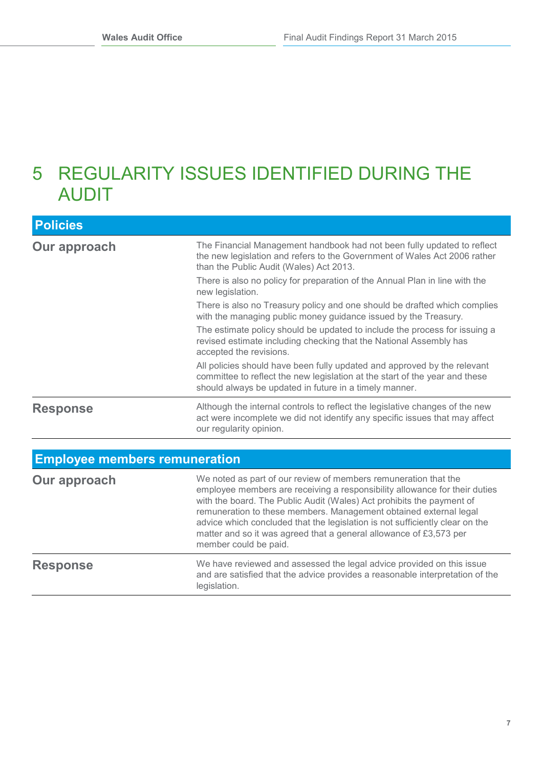## <span id="page-7-0"></span>5 REGULARITY ISSUES IDENTIFIED DURING THE AUDIT

| <b>Policies</b>                      |                                                                                                                                                                                                                   |
|--------------------------------------|-------------------------------------------------------------------------------------------------------------------------------------------------------------------------------------------------------------------|
| Our approach                         | The Financial Management handbook had not been fully updated to reflect<br>the new legislation and refers to the Government of Wales Act 2006 rather<br>than the Public Audit (Wales) Act 2013.                   |
|                                      | There is also no policy for preparation of the Annual Plan in line with the<br>new legislation.                                                                                                                   |
|                                      | There is also no Treasury policy and one should be drafted which complies<br>with the managing public money guidance issued by the Treasury.                                                                      |
|                                      | The estimate policy should be updated to include the process for issuing a<br>revised estimate including checking that the National Assembly has<br>accepted the revisions.                                       |
|                                      | All policies should have been fully updated and approved by the relevant<br>committee to reflect the new legislation at the start of the year and these<br>should always be updated in future in a timely manner. |
| <b>Response</b>                      | Although the internal controls to reflect the legislative changes of the new<br>act were incomplete we did not identify any specific issues that may affect<br>our regularity opinion.                            |
|                                      |                                                                                                                                                                                                                   |
| <b>Employee members remuneration</b> |                                                                                                                                                                                                                   |

| Our approach    | We noted as part of our review of members remuneration that the<br>employee members are receiving a responsibility allowance for their duties<br>with the board. The Public Audit (Wales) Act prohibits the payment of<br>remuneration to these members. Management obtained external legal<br>advice which concluded that the legislation is not sufficiently clear on the<br>matter and so it was agreed that a general allowance of £3,573 per<br>member could be paid. |  |  |
|-----------------|----------------------------------------------------------------------------------------------------------------------------------------------------------------------------------------------------------------------------------------------------------------------------------------------------------------------------------------------------------------------------------------------------------------------------------------------------------------------------|--|--|
| <b>Response</b> | We have reviewed and assessed the legal advice provided on this issue<br>and are satisfied that the advice provides a reasonable interpretation of the<br>legislation.                                                                                                                                                                                                                                                                                                     |  |  |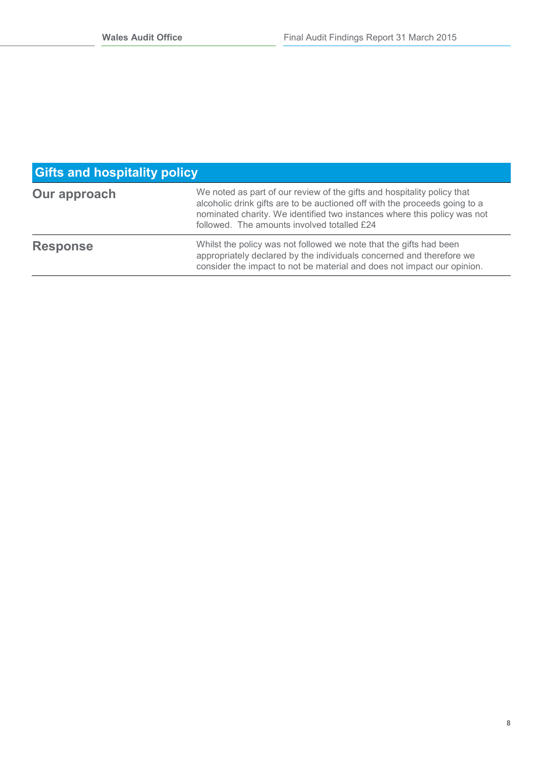| <b>Gifts and hospitality policy</b> |                                                                                                                                                                                                                                                                                  |  |  |
|-------------------------------------|----------------------------------------------------------------------------------------------------------------------------------------------------------------------------------------------------------------------------------------------------------------------------------|--|--|
| Our approach                        | We noted as part of our review of the gifts and hospitality policy that<br>alcoholic drink gifts are to be auctioned off with the proceeds going to a<br>nominated charity. We identified two instances where this policy was not<br>followed. The amounts involved totalled £24 |  |  |
| <b>Response</b>                     | Whilst the policy was not followed we note that the gifts had been<br>appropriately declared by the individuals concerned and therefore we<br>consider the impact to not be material and does not impact our opinion.                                                            |  |  |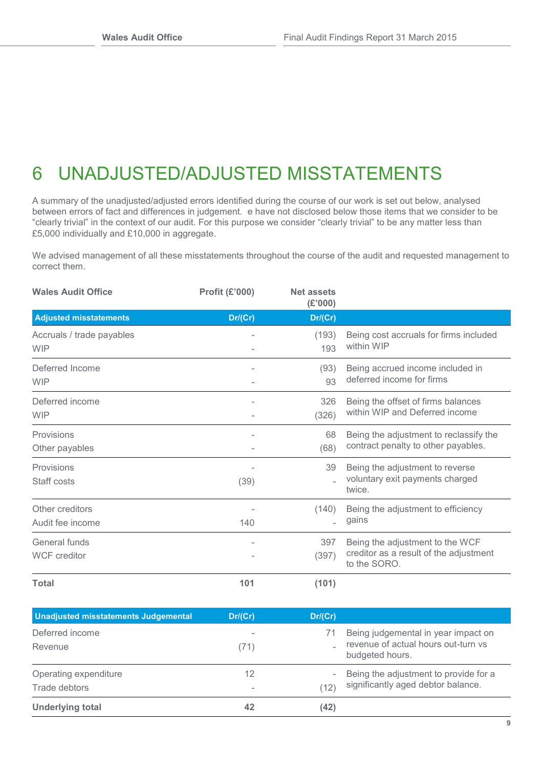# <span id="page-9-0"></span>6 UNADJUSTED/ADJUSTED MISSTATEMENTS

A summary of the unadjusted/adjusted errors identified during the course of our work is set out below, analysed between errors of fact and differences in judgement. e have not disclosed below those items that we consider to be "clearly trivial" in the context of our audit. For this purpose we consider "clearly trivial" to be any matter less than £5,000 individually and £10,000 in aggregate.

We advised management of all these misstatements throughout the course of the audit and requested management to correct them.

| <b>Wales Audit Office</b>               | <b>Profit (£'000)</b> | <b>Net assets</b><br>(E'000) |                                                                                           |
|-----------------------------------------|-----------------------|------------------------------|-------------------------------------------------------------------------------------------|
| <b>Adjusted misstatements</b>           | Dr/(Cr)               | Dr/(Cr)                      |                                                                                           |
| Accruals / trade payables<br><b>WIP</b> |                       | (193)<br>193                 | Being cost accruals for firms included<br>within WIP                                      |
| Deferred Income<br><b>WIP</b>           |                       | (93)<br>93                   | Being accrued income included in<br>deferred income for firms                             |
| Deferred income<br><b>WIP</b>           |                       | 326<br>(326)                 | Being the offset of firms balances<br>within WIP and Deferred income                      |
| Provisions<br>Other payables            |                       | 68<br>(68)                   | Being the adjustment to reclassify the<br>contract penalty to other payables.             |
| Provisions<br>Staff costs               | (39)                  | 39                           | Being the adjustment to reverse<br>voluntary exit payments charged<br>twice.              |
| Other creditors<br>Audit fee income     | 140                   | (140)                        | Being the adjustment to efficiency<br>gains                                               |
| General funds<br><b>WCF</b> creditor    |                       | 397<br>(397)                 | Being the adjustment to the WCF<br>creditor as a result of the adjustment<br>to the SORO. |
| <b>Total</b>                            | 101                   | (101)                        |                                                                                           |

| <b>Unadjusted misstatements Judgemental</b> | Dr/(Cr)   | Dr/(Cr)   |                                                                                               |
|---------------------------------------------|-----------|-----------|-----------------------------------------------------------------------------------------------|
| Deferred income<br>Revenue                  | -<br>(71) | 71        | Being judgemental in year impact on<br>revenue of actual hours out-turn vs<br>budgeted hours. |
| Operating expenditure<br>Trade debtors      | 12<br>-   | -<br>(12) | Being the adjustment to provide for a<br>significantly aged debtor balance.                   |
| <b>Underlying total</b>                     | 42        | (42)      |                                                                                               |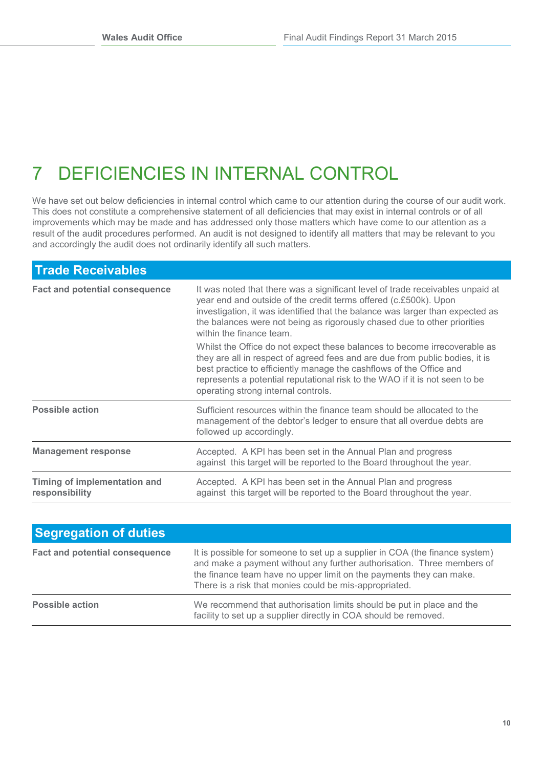# <span id="page-10-0"></span>7 DEFICIENCIES IN INTERNAL CONTROL

We have set out below deficiencies in internal control which came to our attention during the course of our audit work. This does not constitute a comprehensive statement of all deficiencies that may exist in internal controls or of all improvements which may be made and has addressed only those matters which have come to our attention as a result of the audit procedures performed. An audit is not designed to identify all matters that may be relevant to you and accordingly the audit does not ordinarily identify all such matters.

| <b>Trade Receivables</b>                       |                                                                                                                                                                                                                                                                                                                                                        |  |  |
|------------------------------------------------|--------------------------------------------------------------------------------------------------------------------------------------------------------------------------------------------------------------------------------------------------------------------------------------------------------------------------------------------------------|--|--|
| <b>Fact and potential consequence</b>          | It was noted that there was a significant level of trade receivables unpaid at<br>year end and outside of the credit terms offered (c.£500k). Upon<br>investigation, it was identified that the balance was larger than expected as<br>the balances were not being as rigorously chased due to other priorities<br>within the finance team.            |  |  |
|                                                | Whilst the Office do not expect these balances to become irrecoverable as<br>they are all in respect of agreed fees and are due from public bodies, it is<br>best practice to efficiently manage the cashflows of the Office and<br>represents a potential reputational risk to the WAO if it is not seen to be<br>operating strong internal controls. |  |  |
| <b>Possible action</b>                         | Sufficient resources within the finance team should be allocated to the<br>management of the debtor's ledger to ensure that all overdue debts are<br>followed up accordingly.                                                                                                                                                                          |  |  |
| <b>Management response</b>                     | Accepted. A KPI has been set in the Annual Plan and progress<br>against this target will be reported to the Board throughout the year.                                                                                                                                                                                                                 |  |  |
| Timing of implementation and<br>responsibility | Accepted. A KPI has been set in the Annual Plan and progress<br>against this target will be reported to the Board throughout the year.                                                                                                                                                                                                                 |  |  |

| <b>Segregation of duties</b>          |                                                                                                                                                                                                                                                                                        |
|---------------------------------------|----------------------------------------------------------------------------------------------------------------------------------------------------------------------------------------------------------------------------------------------------------------------------------------|
| <b>Fact and potential consequence</b> | It is possible for someone to set up a supplier in COA (the finance system)<br>and make a payment without any further authorisation. Three members of<br>the finance team have no upper limit on the payments they can make.<br>There is a risk that monies could be mis-appropriated. |
| <b>Possible action</b>                | We recommend that authorisation limits should be put in place and the<br>facility to set up a supplier directly in COA should be removed.                                                                                                                                              |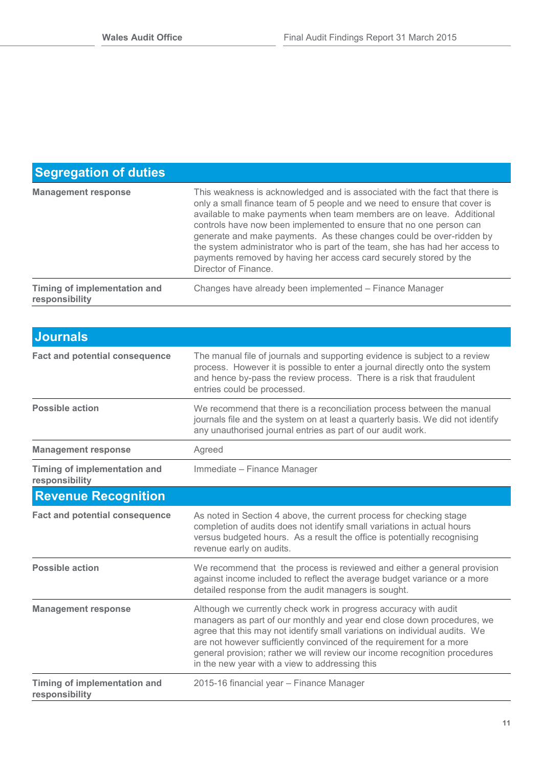### **Segregation of duties**

| <b>Management response</b>                     | This weakness is acknowledged and is associated with the fact that there is<br>only a small finance team of 5 people and we need to ensure that cover is<br>available to make payments when team members are on leave. Additional<br>controls have now been implemented to ensure that no one person can<br>generate and make payments. As these changes could be over-ridden by<br>the system administrator who is part of the team, she has had her access to<br>payments removed by having her access card securely stored by the<br>Director of Finance. |
|------------------------------------------------|--------------------------------------------------------------------------------------------------------------------------------------------------------------------------------------------------------------------------------------------------------------------------------------------------------------------------------------------------------------------------------------------------------------------------------------------------------------------------------------------------------------------------------------------------------------|
| Timing of implementation and<br>responsibility | Changes have already been implemented - Finance Manager                                                                                                                                                                                                                                                                                                                                                                                                                                                                                                      |

| <b>Journals</b>                                       |                                                                                                                                                                                                                                                                                                                                                                                                                                  |
|-------------------------------------------------------|----------------------------------------------------------------------------------------------------------------------------------------------------------------------------------------------------------------------------------------------------------------------------------------------------------------------------------------------------------------------------------------------------------------------------------|
| <b>Fact and potential consequence</b>                 | The manual file of journals and supporting evidence is subject to a review<br>process. However it is possible to enter a journal directly onto the system<br>and hence by-pass the review process. There is a risk that fraudulent<br>entries could be processed.                                                                                                                                                                |
| <b>Possible action</b>                                | We recommend that there is a reconciliation process between the manual<br>journals file and the system on at least a quarterly basis. We did not identify<br>any unauthorised journal entries as part of our audit work.                                                                                                                                                                                                         |
| <b>Management response</b>                            | Agreed                                                                                                                                                                                                                                                                                                                                                                                                                           |
| <b>Timing of implementation and</b><br>responsibility | Immediate - Finance Manager                                                                                                                                                                                                                                                                                                                                                                                                      |
| <b>Revenue Recognition</b>                            |                                                                                                                                                                                                                                                                                                                                                                                                                                  |
| <b>Fact and potential consequence</b>                 | As noted in Section 4 above, the current process for checking stage<br>completion of audits does not identify small variations in actual hours<br>versus budgeted hours. As a result the office is potentially recognising<br>revenue early on audits.                                                                                                                                                                           |
| <b>Possible action</b>                                | We recommend that the process is reviewed and either a general provision<br>against income included to reflect the average budget variance or a more<br>detailed response from the audit managers is sought.                                                                                                                                                                                                                     |
| <b>Management response</b>                            | Although we currently check work in progress accuracy with audit<br>managers as part of our monthly and year end close down procedures, we<br>agree that this may not identify small variations on individual audits. We<br>are not however sufficiently convinced of the requirement for a more<br>general provision; rather we will review our income recognition procedures<br>in the new year with a view to addressing this |
| Timing of implementation and<br>responsibility        | 2015-16 financial year - Finance Manager                                                                                                                                                                                                                                                                                                                                                                                         |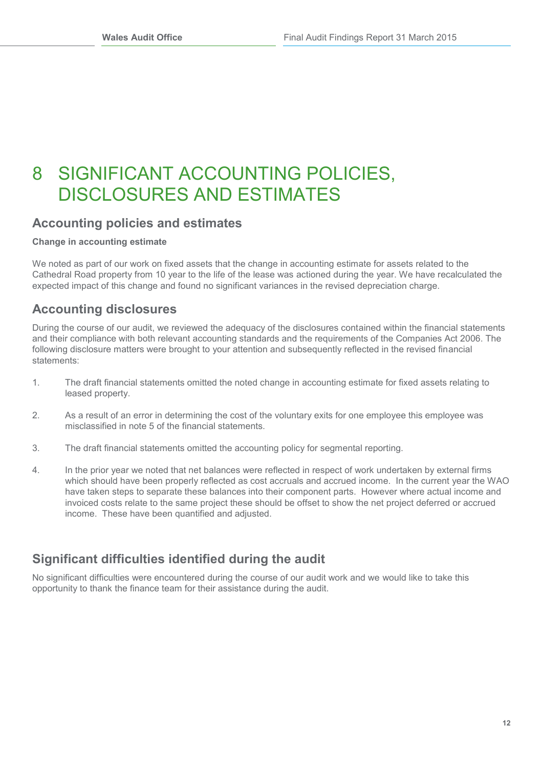### <span id="page-12-0"></span>8 SIGNIFICANT ACCOUNTING POLICIES, DISCLOSURES AND ESTIMATES

### **Accounting policies and estimates**

#### **Change in accounting estimate**

We noted as part of our work on fixed assets that the change in accounting estimate for assets related to the Cathedral Road property from 10 year to the life of the lease was actioned during the year. We have recalculated the expected impact of this change and found no significant variances in the revised depreciation charge.

### **Accounting disclosures**

During the course of our audit, we reviewed the adequacy of the disclosures contained within the financial statements and their compliance with both relevant accounting standards and the requirements of the Companies Act 2006. The following disclosure matters were brought to your attention and subsequently reflected in the revised financial statements:

- 1. The draft financial statements omitted the noted change in accounting estimate for fixed assets relating to leased property.
- 2. As a result of an error in determining the cost of the voluntary exits for one employee this employee was misclassified in note 5 of the financial statements.
- 3. The draft financial statements omitted the accounting policy for segmental reporting.
- 4. In the prior year we noted that net balances were reflected in respect of work undertaken by external firms which should have been properly reflected as cost accruals and accrued income. In the current year the WAO have taken steps to separate these balances into their component parts. However where actual income and invoiced costs relate to the same project these should be offset to show the net project deferred or accrued income. These have been quantified and adjusted.

### **Significant difficulties identified during the audit**

No significant difficulties were encountered during the course of our audit work and we would like to take this opportunity to thank the finance team for their assistance during the audit.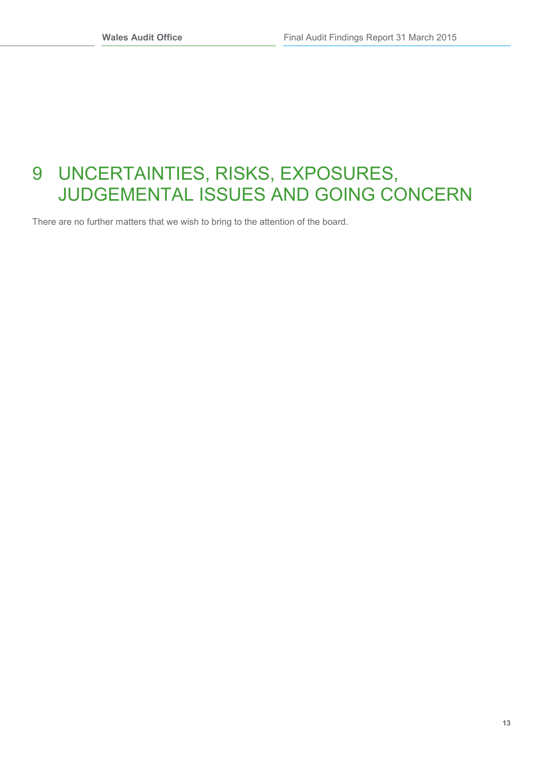## <span id="page-13-0"></span>9 UNCERTAINTIES, RISKS, EXPOSURES, JUDGEMENTAL ISSUES AND GOING CONCERN

There are no further matters that we wish to bring to the attention of the board.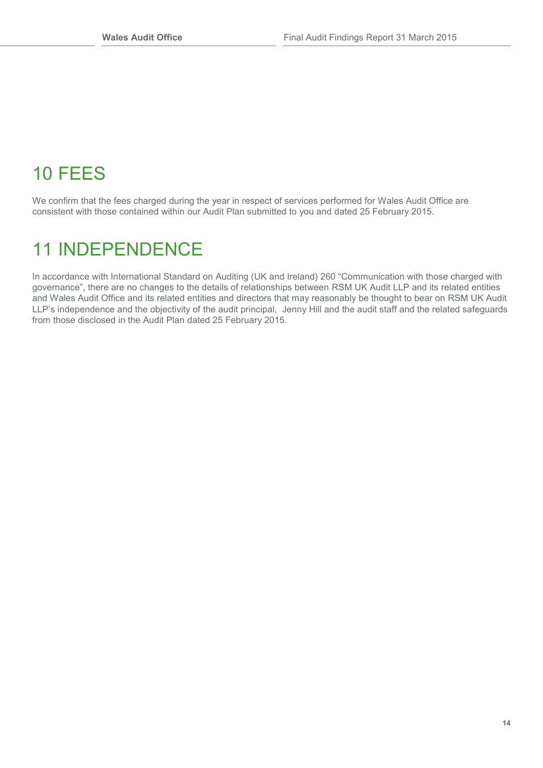# <span id="page-14-0"></span>10 FEES

We confirm that the fees charged during the year in respect of services performed for Wales Audit Office are consistent with those contained within our Audit Plan submitted to you and dated 25 February 2015.

## <span id="page-14-1"></span>11 INDEPENDENCE

In accordance with International Standard on Auditing (UK and Ireland) 260 "Communication with those charged with governance", there are no changes to the details of relationships between RSM UK Audit LLP and its related entities and Wales Audit Office and its related entities and directors that may reasonably be thought to bear on RSM UK Audit LLP's independence and the objectivity of the audit principal, Jenny Hill and the audit staff and the related safeguards from those disclosed in the Audit Plan dated 25 February 2015.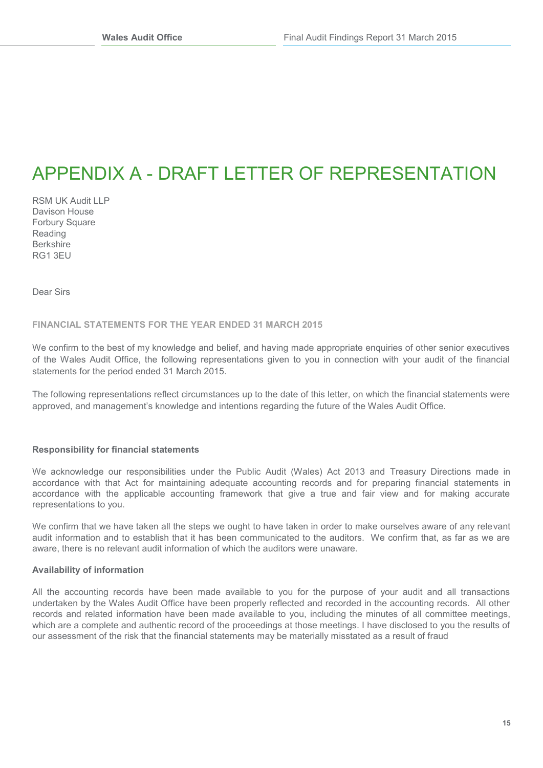## <span id="page-15-0"></span>APPENDIX A - DRAFT LETTER OF REPRESENTATION

RSM UK Audit LLP Davison House Forbury Square Reading Berkshire RG1 3EU

Dear Sirs

#### **FINANCIAL STATEMENTS FOR THE YEAR ENDED 31 MARCH 2015**

We confirm to the best of my knowledge and belief, and having made appropriate enguiries of other senior executives of the Wales Audit Office, the following representations given to you in connection with your audit of the financial statements for the period ended 31 March 2015.

The following representations reflect circumstances up to the date of this letter, on which the financial statements were approved, and management's knowledge and intentions regarding the future of the Wales Audit Office.

#### **Responsibility for financial statements**

We acknowledge our responsibilities under the Public Audit (Wales) Act 2013 and Treasury Directions made in accordance with that Act for maintaining adequate accounting records and for preparing financial statements in accordance with the applicable accounting framework that give a true and fair view and for making accurate representations to you.

We confirm that we have taken all the steps we ought to have taken in order to make ourselves aware of any relevant audit information and to establish that it has been communicated to the auditors. We confirm that, as far as we are aware, there is no relevant audit information of which the auditors were unaware.

#### **Availability of information**

All the accounting records have been made available to you for the purpose of your audit and all transactions undertaken by the Wales Audit Office have been properly reflected and recorded in the accounting records. All other records and related information have been made available to you, including the minutes of all committee meetings, which are a complete and authentic record of the proceedings at those meetings. I have disclosed to you the results of our assessment of the risk that the financial statements may be materially misstated as a result of fraud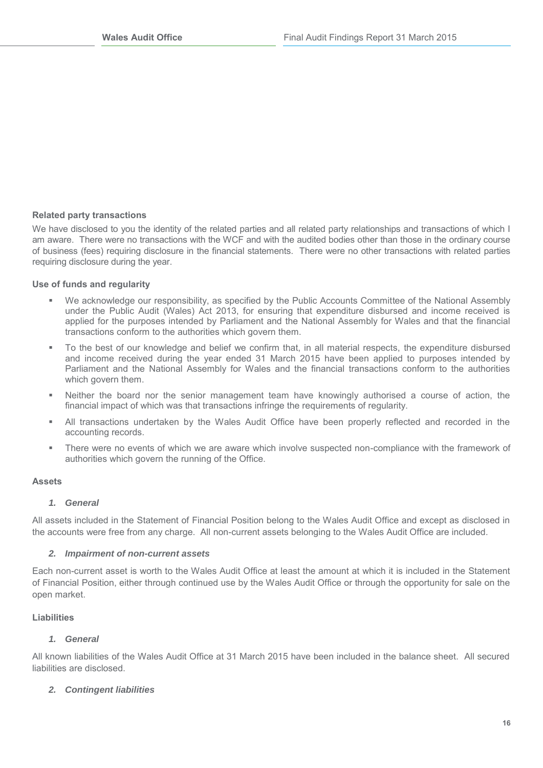#### **Related party transactions**

We have disclosed to you the identity of the related parties and all related party relationships and transactions of which I am aware. There were no transactions with the WCF and with the audited bodies other than those in the ordinary course of business (fees) requiring disclosure in the financial statements. There were no other transactions with related parties requiring disclosure during the year.

#### **Use of funds and regularity**

- We acknowledge our responsibility, as specified by the Public Accounts Committee of the National Assembly under the Public Audit (Wales) Act 2013, for ensuring that expenditure disbursed and income received is applied for the purposes intended by Parliament and the National Assembly for Wales and that the financial transactions conform to the authorities which govern them.
- To the best of our knowledge and belief we confirm that, in all material respects, the expenditure disbursed and income received during the year ended 31 March 2015 have been applied to purposes intended by Parliament and the National Assembly for Wales and the financial transactions conform to the authorities which govern them.
- Neither the board nor the senior management team have knowingly authorised a course of action, the financial impact of which was that transactions infringe the requirements of regularity.
- All transactions undertaken by the Wales Audit Office have been properly reflected and recorded in the accounting records.
- There were no events of which we are aware which involve suspected non-compliance with the framework of authorities which govern the running of the Office.

#### **Assets**

#### *1. General*

All assets included in the Statement of Financial Position belong to the Wales Audit Office and except as disclosed in the accounts were free from any charge. All non-current assets belonging to the Wales Audit Office are included.

#### *2. Impairment of non-current assets*

Each non-current asset is worth to the Wales Audit Office at least the amount at which it is included in the Statement of Financial Position, either through continued use by the Wales Audit Office or through the opportunity for sale on the open market.

#### **Liabilities**

#### *1. General*

All known liabilities of the Wales Audit Office at 31 March 2015 have been included in the balance sheet. All secured liabilities are disclosed.

#### *2. Contingent liabilities*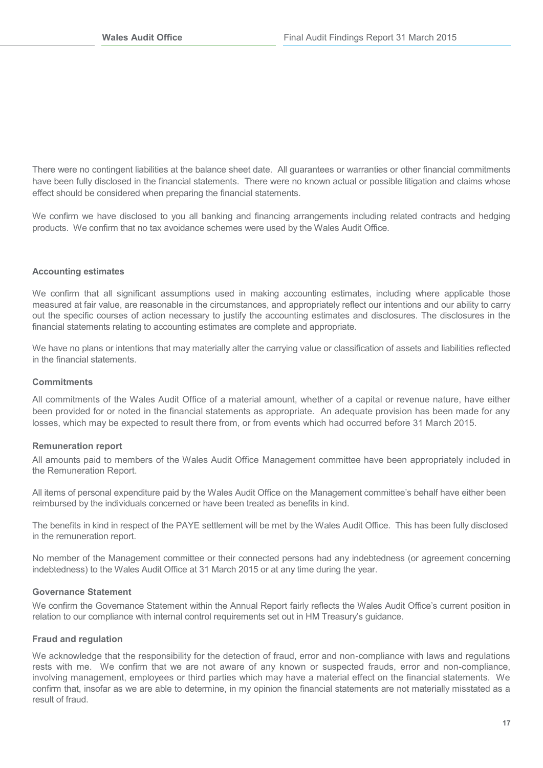There were no contingent liabilities at the balance sheet date. All guarantees or warranties or other financial commitments have been fully disclosed in the financial statements. There were no known actual or possible litigation and claims whose effect should be considered when preparing the financial statements.

We confirm we have disclosed to you all banking and financing arrangements including related contracts and hedging products. We confirm that no tax avoidance schemes were used by the Wales Audit Office.

#### **Accounting estimates**

We confirm that all significant assumptions used in making accounting estimates, including where applicable those measured at fair value, are reasonable in the circumstances, and appropriately reflect our intentions and our ability to carry out the specific courses of action necessary to justify the accounting estimates and disclosures. The disclosures in the financial statements relating to accounting estimates are complete and appropriate.

We have no plans or intentions that may materially alter the carrying value or classification of assets and liabilities reflected in the financial statements.

#### **Commitments**

All commitments of the Wales Audit Office of a material amount, whether of a capital or revenue nature, have either been provided for or noted in the financial statements as appropriate. An adequate provision has been made for any losses, which may be expected to result there from, or from events which had occurred before 31 March 2015.

#### **Remuneration report**

All amounts paid to members of the Wales Audit Office Management committee have been appropriately included in the Remuneration Report.

All items of personal expenditure paid by the Wales Audit Office on the Management committee's behalf have either been reimbursed by the individuals concerned or have been treated as benefits in kind.

The benefits in kind in respect of the PAYE settlement will be met by the Wales Audit Office. This has been fully disclosed in the remuneration report.

No member of the Management committee or their connected persons had any indebtedness (or agreement concerning indebtedness) to the Wales Audit Office at 31 March 2015 or at any time during the year.

#### **Governance Statement**

We confirm the Governance Statement within the Annual Report fairly reflects the Wales Audit Office's current position in relation to our compliance with internal control requirements set out in HM Treasury's guidance.

#### **Fraud and regulation**

We acknowledge that the responsibility for the detection of fraud, error and non-compliance with laws and regulations rests with me. We confirm that we are not aware of any known or suspected frauds, error and non-compliance, involving management, employees or third parties which may have a material effect on the financial statements. We confirm that, insofar as we are able to determine, in my opinion the financial statements are not materially misstated as a result of fraud.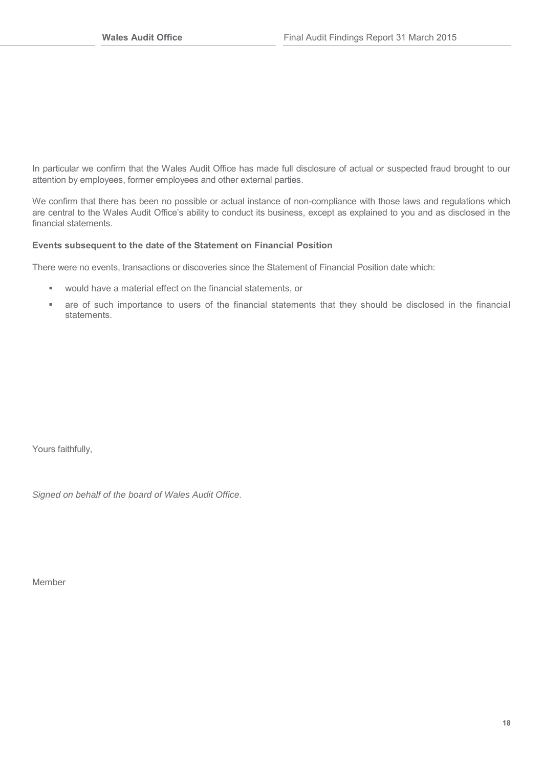In particular we confirm that the Wales Audit Office has made full disclosure of actual or suspected fraud brought to our attention by employees, former employees and other external parties.

We confirm that there has been no possible or actual instance of non-compliance with those laws and regulations which are central to the Wales Audit Office's ability to conduct its business, except as explained to you and as disclosed in the financial statements.

#### **Events subsequent to the date of the Statement on Financial Position**

There were no events, transactions or discoveries since the Statement of Financial Position date which:

- would have a material effect on the financial statements, or
- are of such importance to users of the financial statements that they should be disclosed in the financial statements.

Yours faithfully,

*Signed on behalf of the board of Wales Audit Office.*

Member